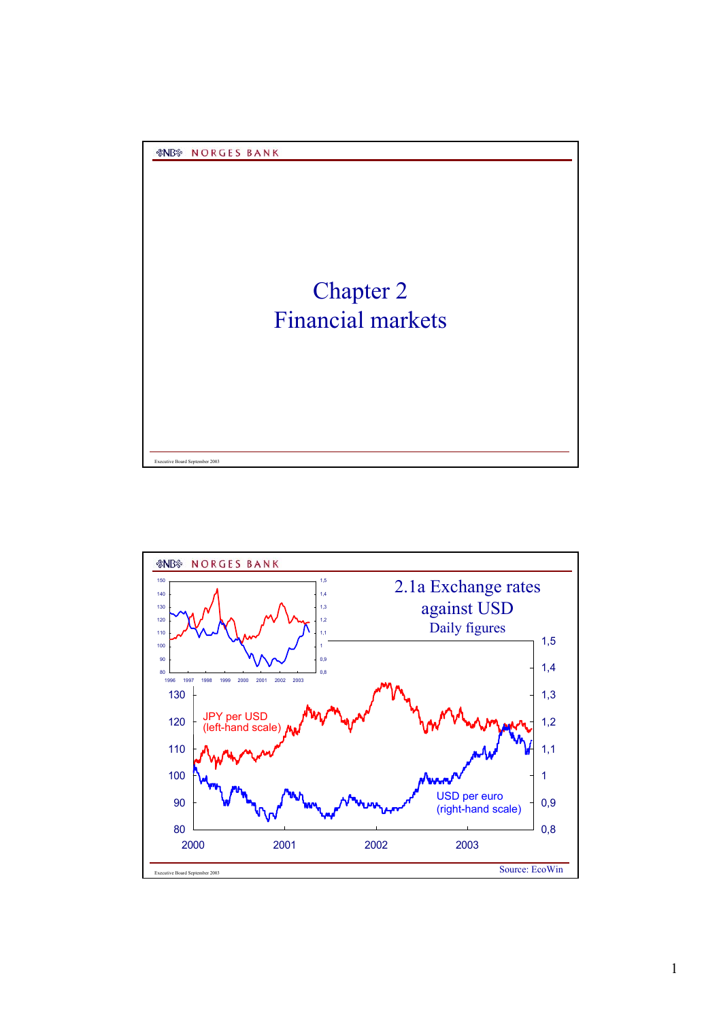Executive Board September 2003

## Chapter 2 Financial markets

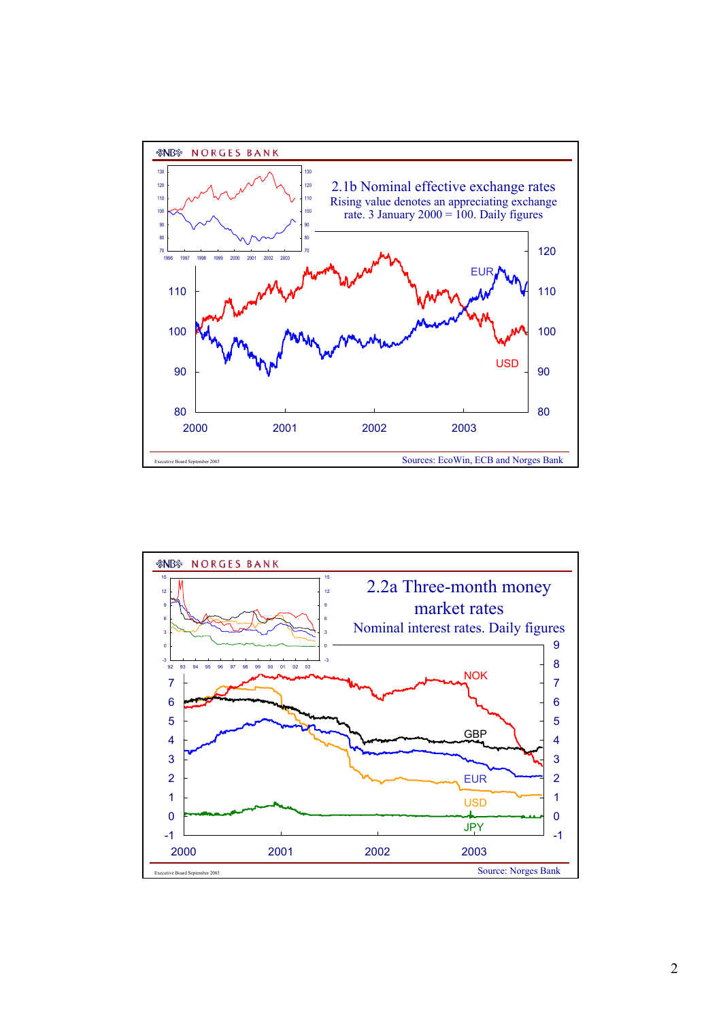

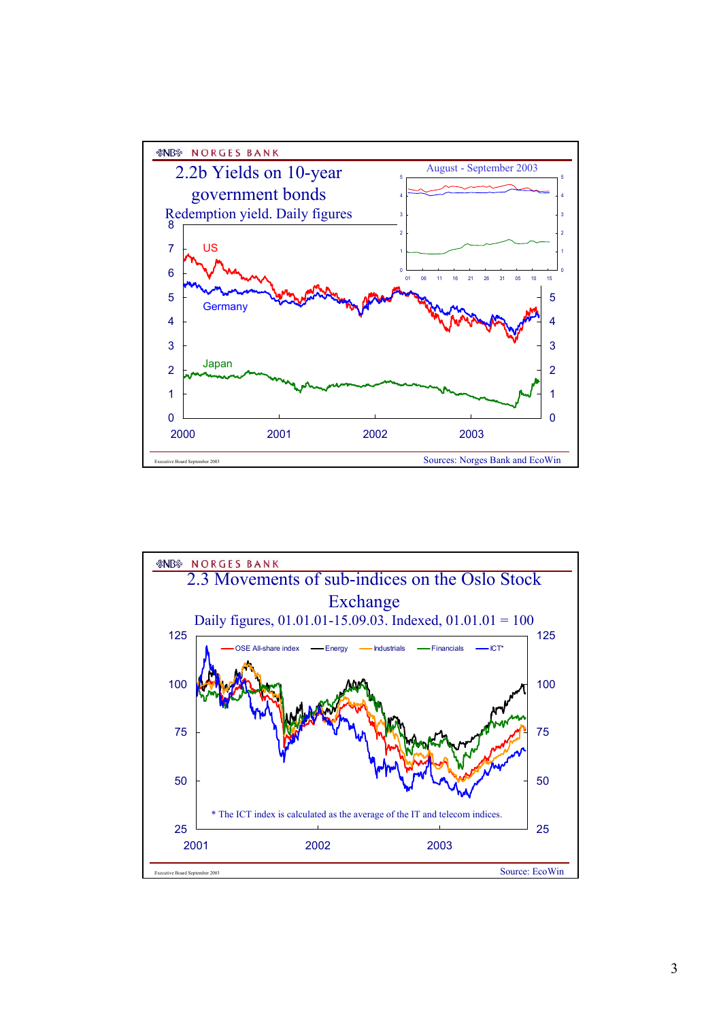

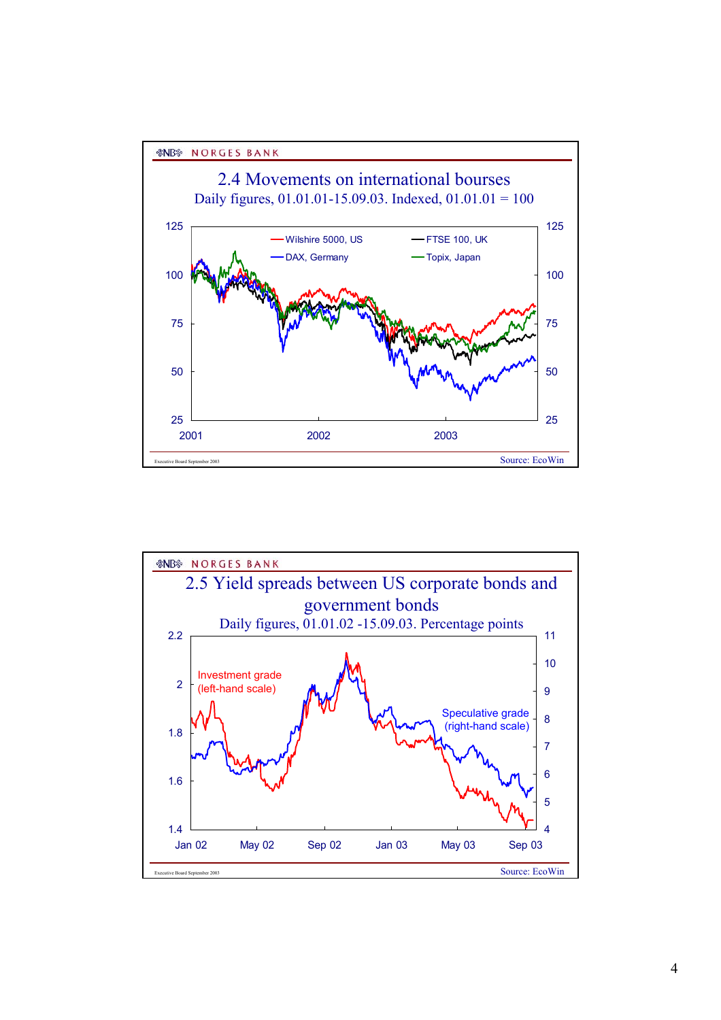



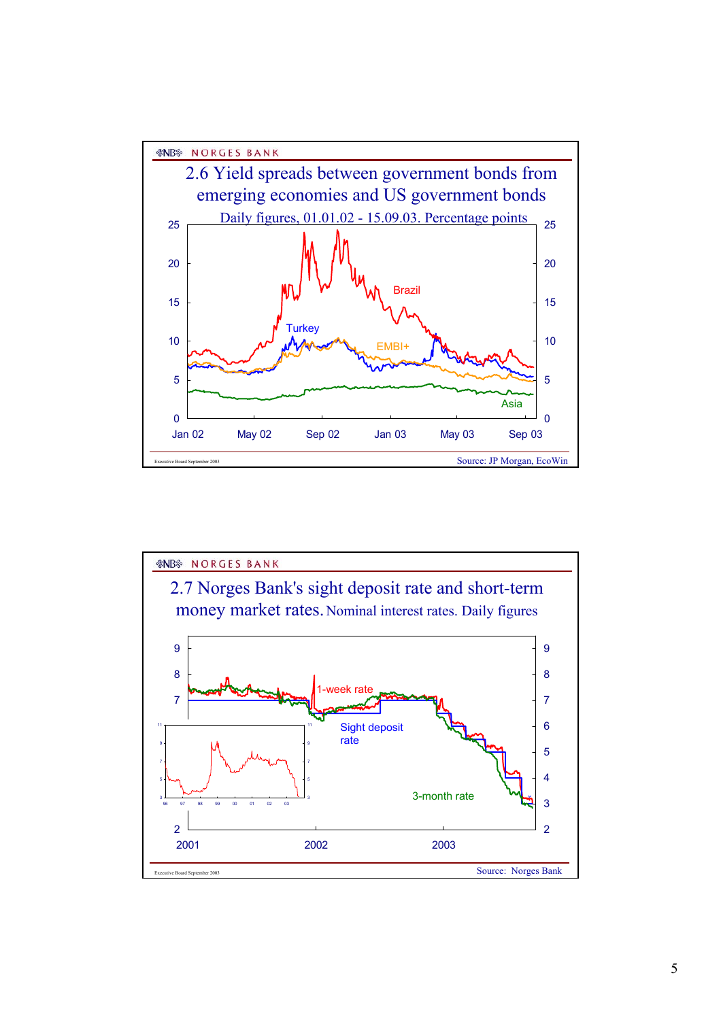

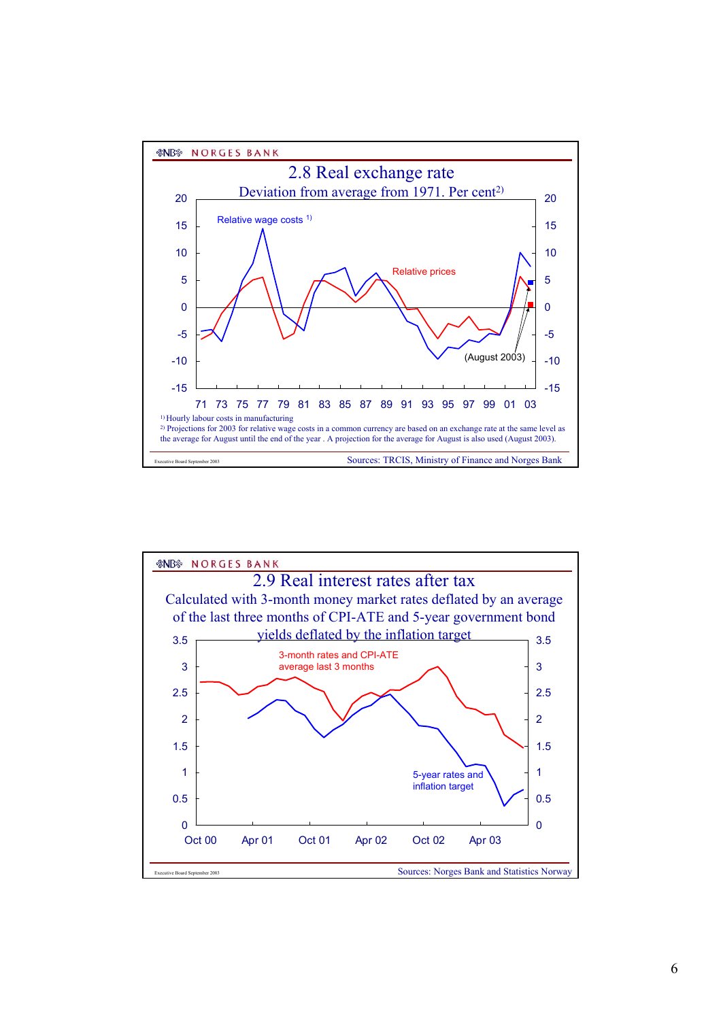

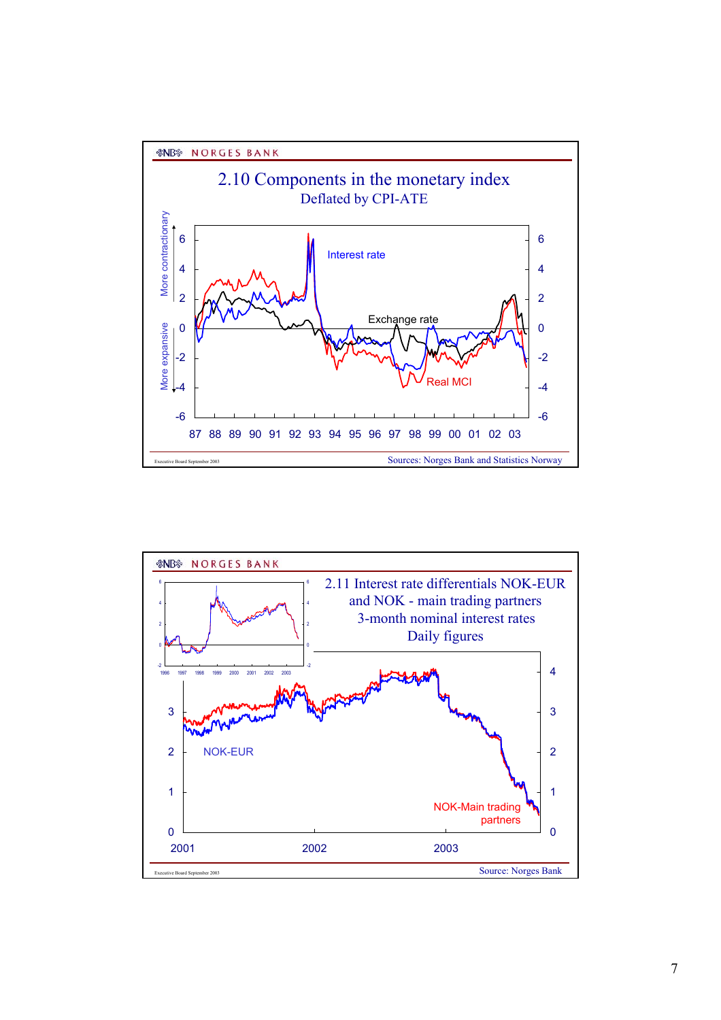

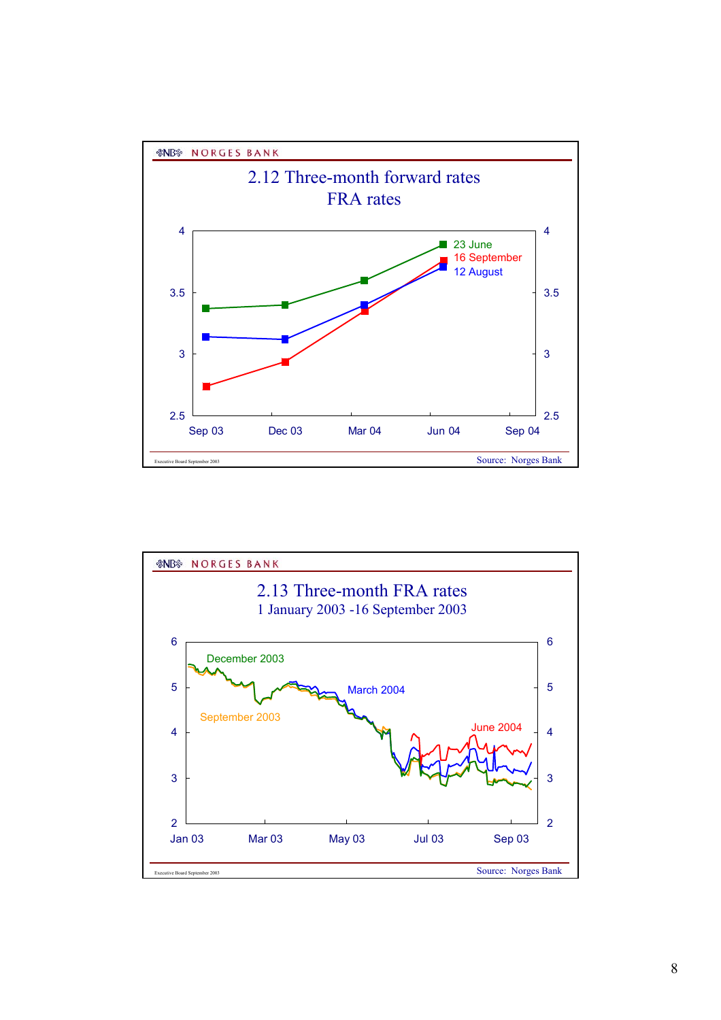

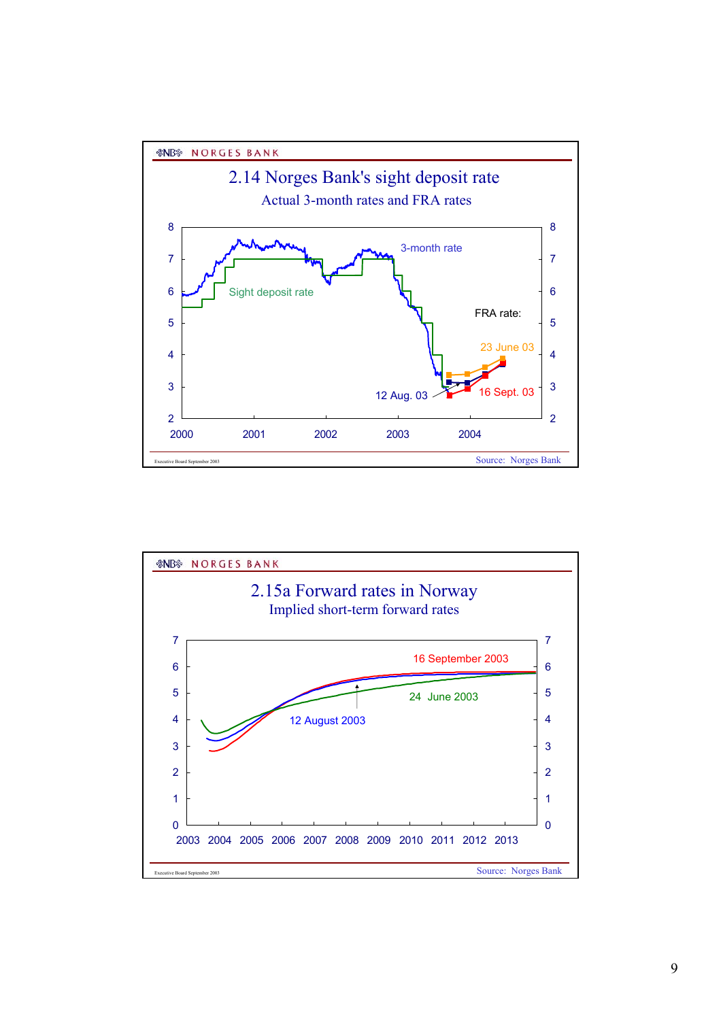

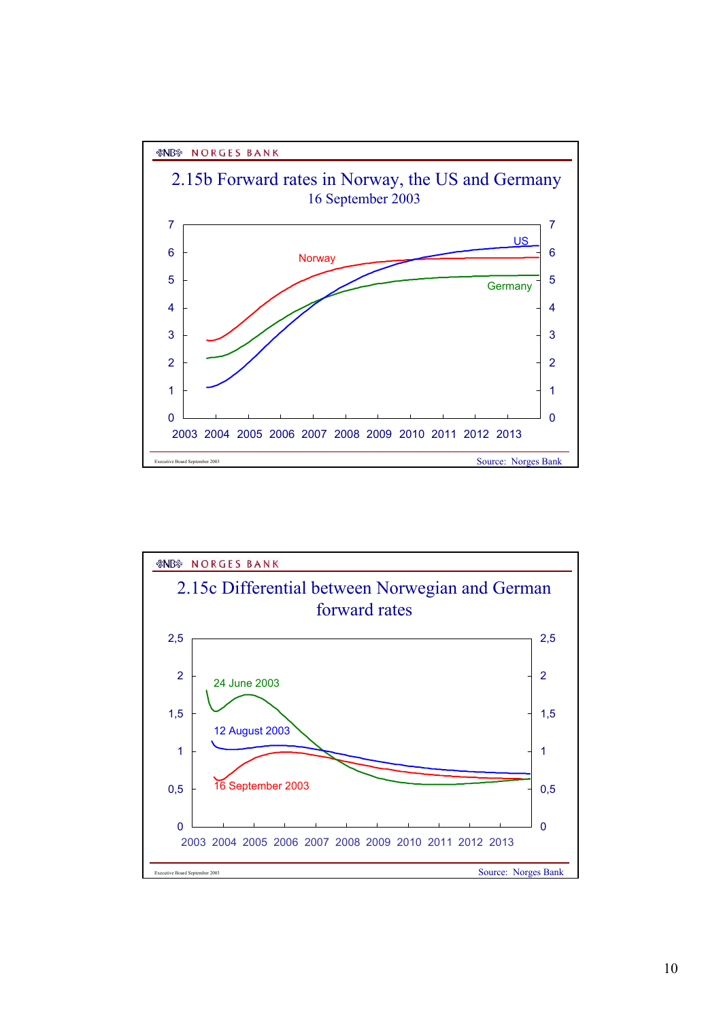

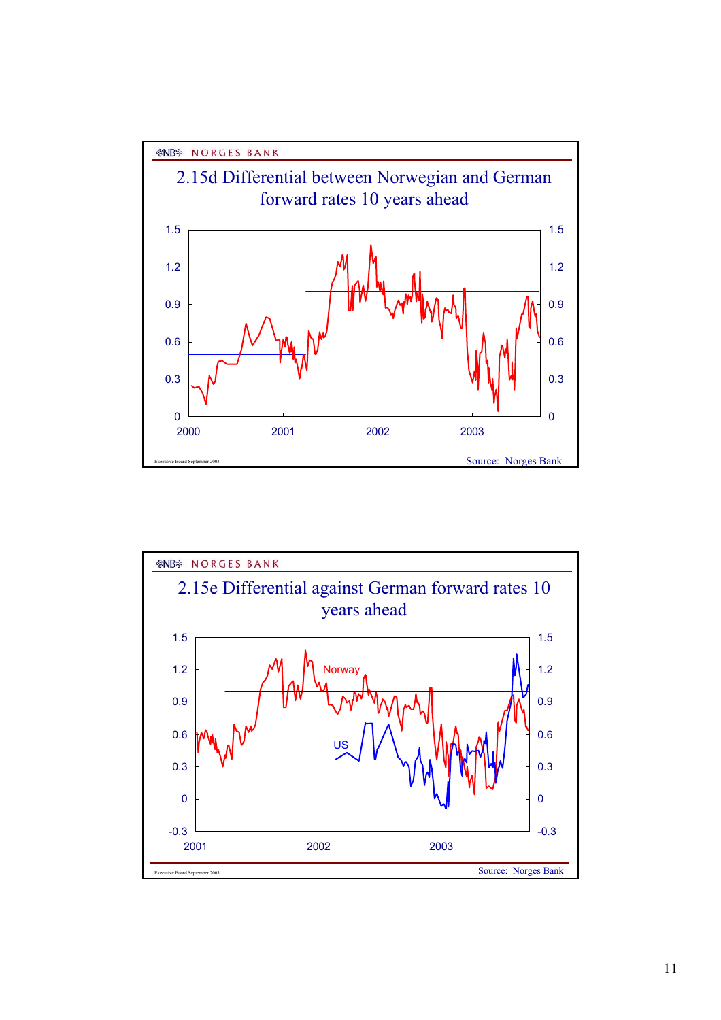

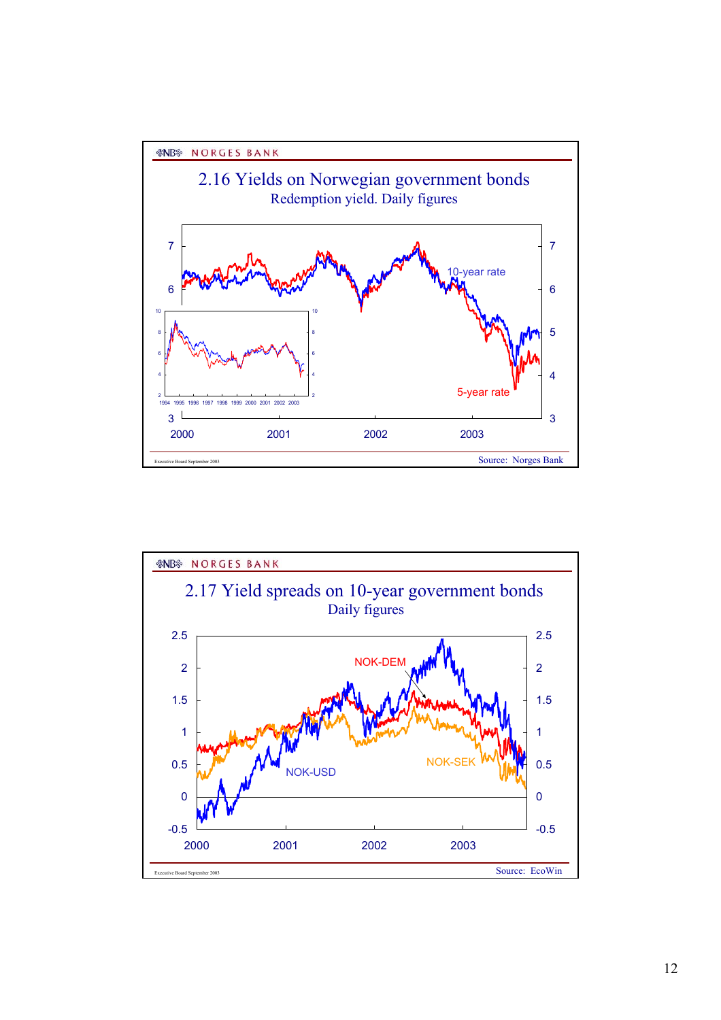

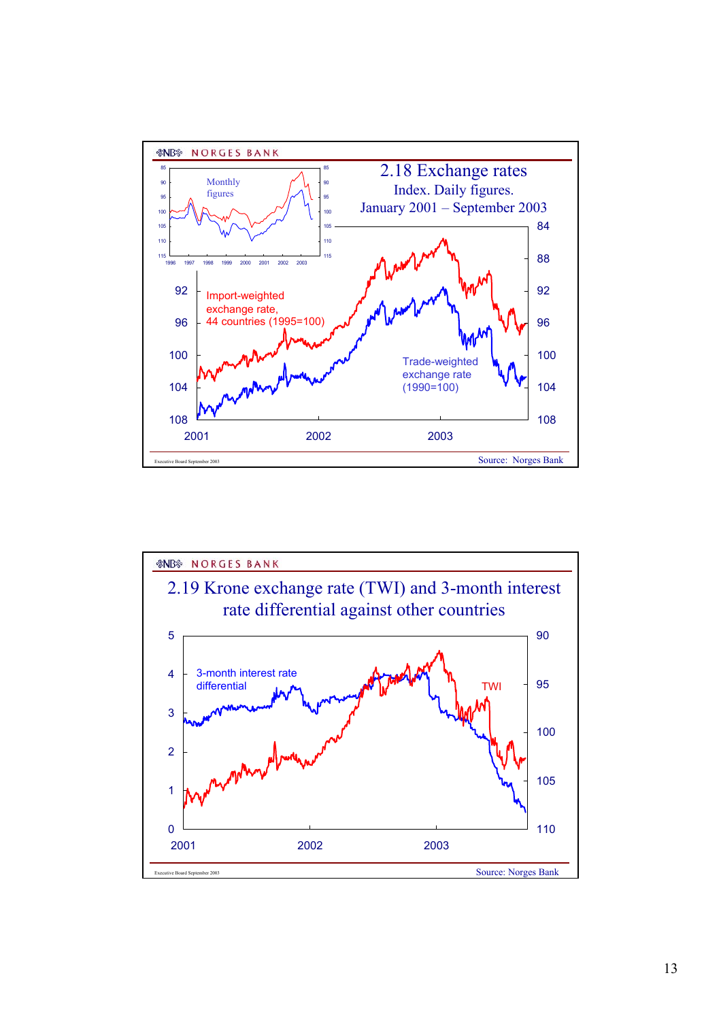

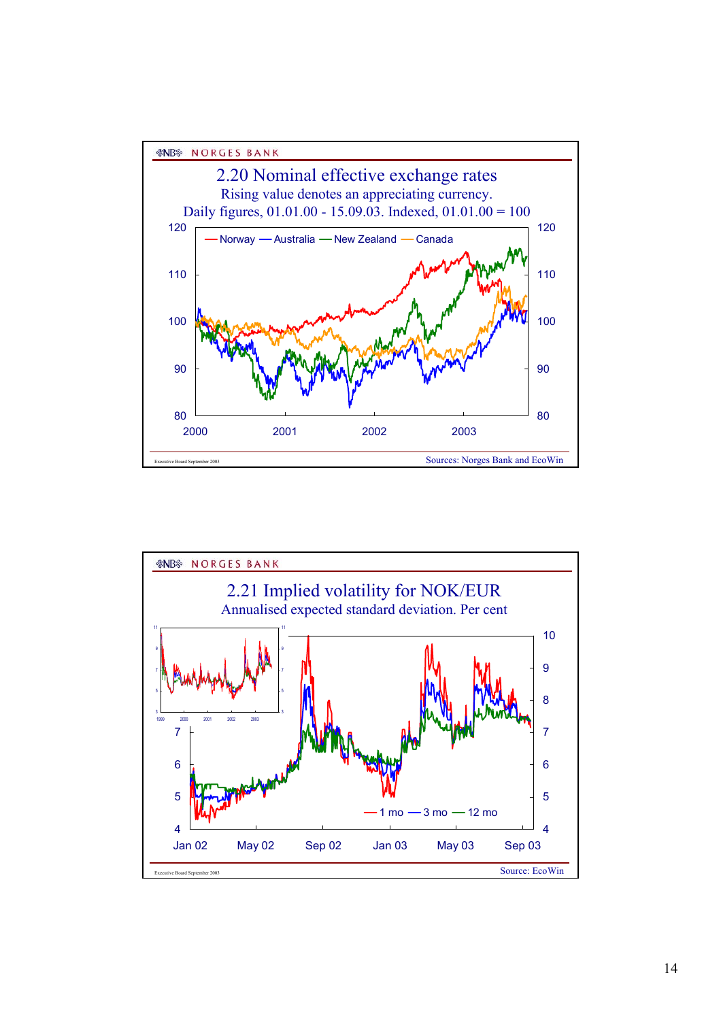

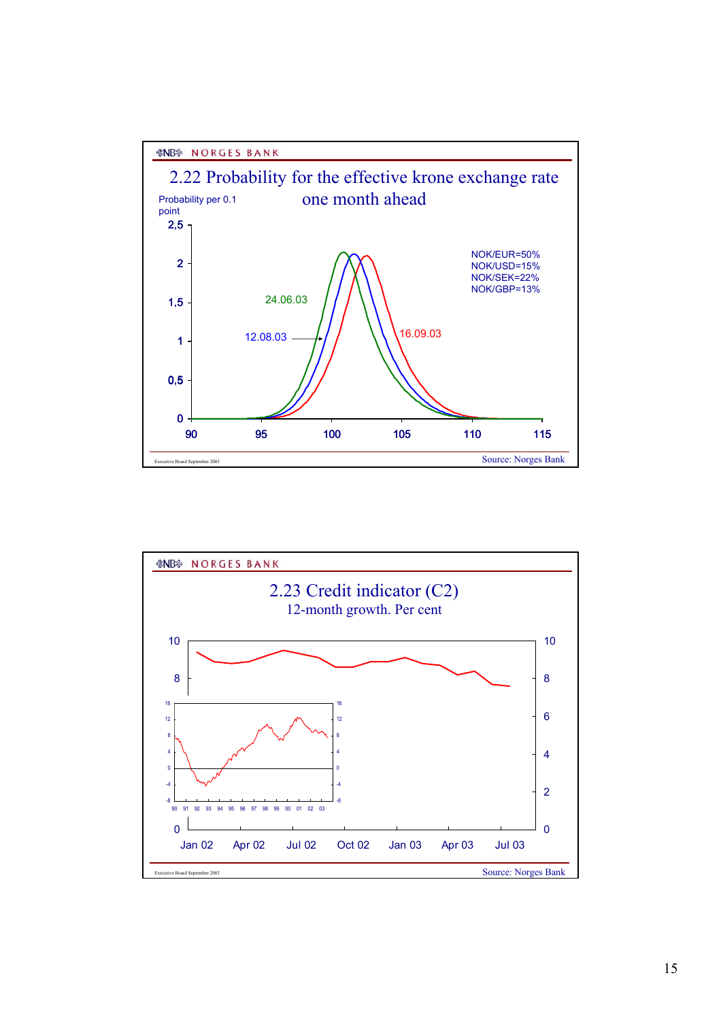

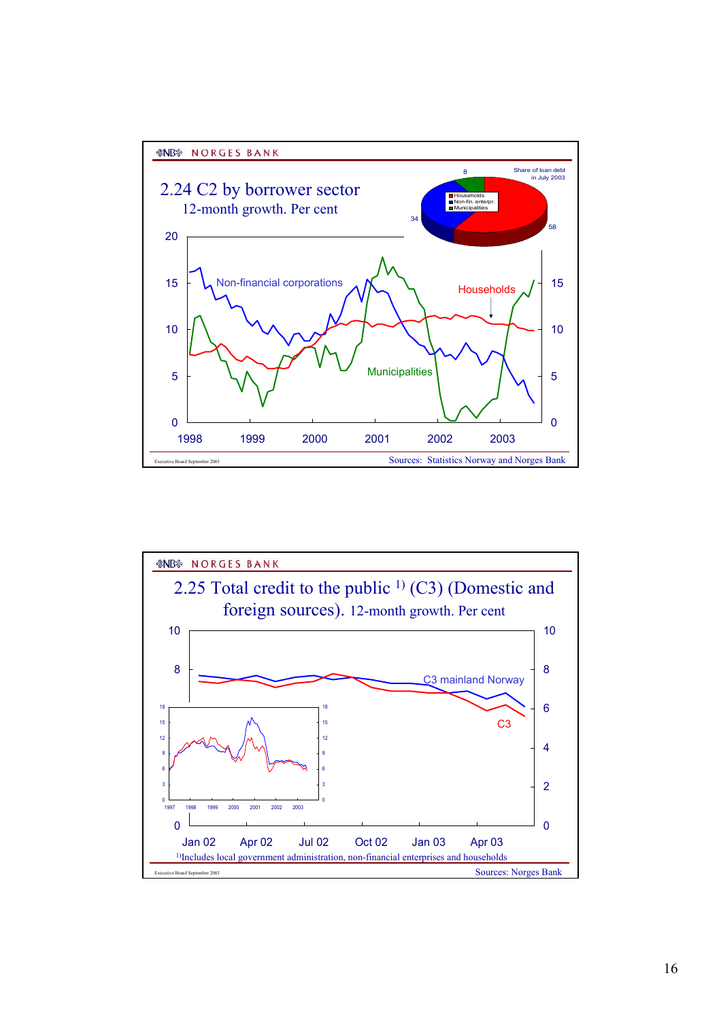